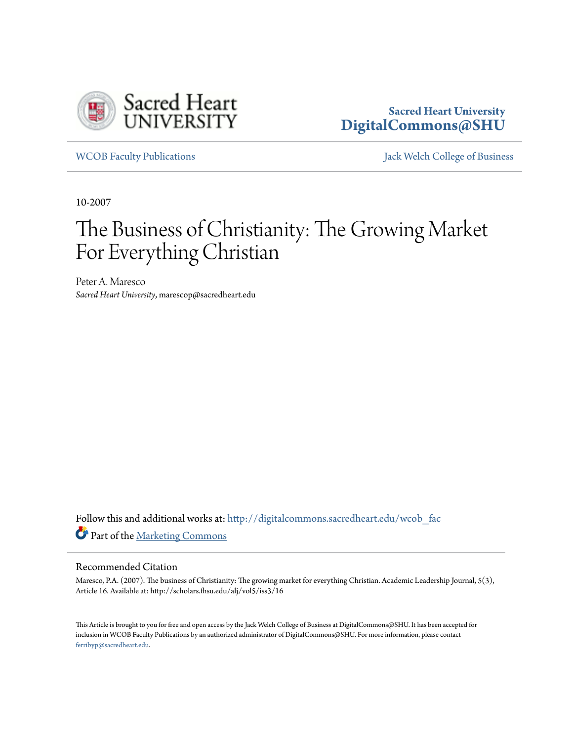

## **Sacred Heart University [DigitalCommons@SHU](http://digitalcommons.sacredheart.edu?utm_source=digitalcommons.sacredheart.edu%2Fwcob_fac%2F452&utm_medium=PDF&utm_campaign=PDFCoverPages)**

[WCOB Faculty Publications](http://digitalcommons.sacredheart.edu/wcob_fac?utm_source=digitalcommons.sacredheart.edu%2Fwcob_fac%2F452&utm_medium=PDF&utm_campaign=PDFCoverPages) [Jack Welch College of Business](http://digitalcommons.sacredheart.edu/wcob?utm_source=digitalcommons.sacredheart.edu%2Fwcob_fac%2F452&utm_medium=PDF&utm_campaign=PDFCoverPages)

10-2007

## The Business of Christianity: The Growing Market For Everything Christian

Peter A. Maresco *Sacred Heart University*, marescop@sacredheart.edu

Follow this and additional works at: [http://digitalcommons.sacredheart.edu/wcob\\_fac](http://digitalcommons.sacredheart.edu/wcob_fac?utm_source=digitalcommons.sacredheart.edu%2Fwcob_fac%2F452&utm_medium=PDF&utm_campaign=PDFCoverPages) Part of the [Marketing Commons](http://network.bepress.com/hgg/discipline/638?utm_source=digitalcommons.sacredheart.edu%2Fwcob_fac%2F452&utm_medium=PDF&utm_campaign=PDFCoverPages)

## Recommended Citation

Maresco, P.A. (2007). The business of Christianity: The growing market for everything Christian. Academic Leadership Journal, 5(3), Article 16. Available at: http://scholars.fhsu.edu/alj/vol5/iss3/16

This Article is brought to you for free and open access by the Jack Welch College of Business at DigitalCommons@SHU. It has been accepted for inclusion in WCOB Faculty Publications by an authorized administrator of DigitalCommons@SHU. For more information, please contact [ferribyp@sacredheart.edu](mailto:ferribyp@sacredheart.edu).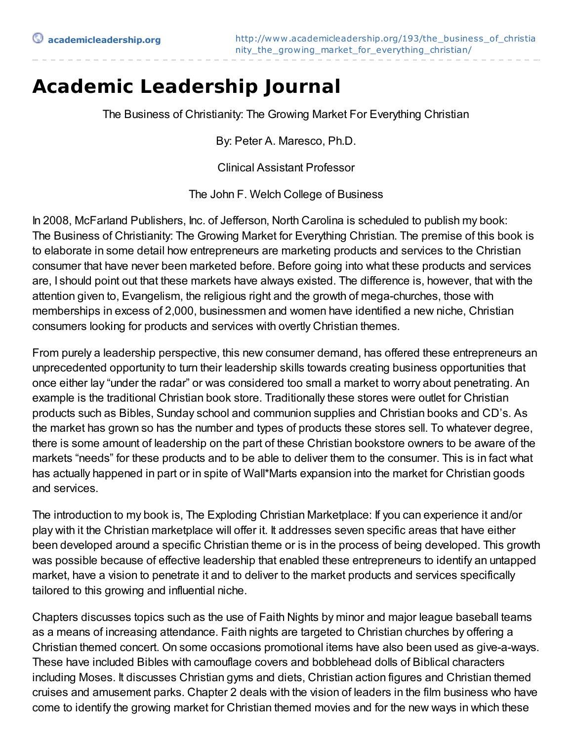## **Academic Leadership Journal**

The Business of Christianity: The Growing Market For Everything Christian

By: Peter A. Maresco, Ph.D.

Clinical Assistant Professor

The John F. Welch College of Business

In 2008, McFarland Publishers, Inc. of Jefferson, North Carolina is scheduled to publish my book: The Business of Christianity: The Growing Market for Everything Christian. The premise of this book is to elaborate in some detail how entrepreneurs are marketing products and services to the Christian consumer that have never been marketed before. Before going into what these products and services are, I should point out that these markets have always existed. The difference is, however, that with the attention given to, Evangelism, the religious right and the growth of mega-churches, those with memberships in excess of 2,000, businessmen and women have identified a new niche, Christian consumers looking for products and services with overtly Christian themes.

From purely a leadership perspective, this new consumer demand, has offered these entrepreneurs an unprecedented opportunity to turn their leadership skills towards creating business opportunities that once either lay "under the radar" or was considered too small a market to worry about penetrating. An example is the traditional Christian book store. Traditionally these stores were outlet for Christian products such as Bibles, Sunday school and communion supplies and Christian books and CD's. As the market has grown so has the number and types of products these stores sell. To whatever degree, there is some amount of leadership on the part of these Christian bookstore owners to be aware of the markets "needs" for these products and to be able to deliver them to the consumer. This is in fact what has actually happened in part or in spite of Wall\*Marts expansion into the market for Christian goods and services.

The introduction to my book is, The Exploding Christian Marketplace: If you can experience it and/or play with it the Christian marketplace will offer it. It addresses seven specific areas that have either been developed around a specific Christian theme or is in the process of being developed. This growth was possible because of effective leadership that enabled these entrepreneurs to identify an untapped market, have a vision to penetrate it and to deliver to the market products and services specifically tailored to this growing and influential niche.

Chapters discusses topics such as the use of Faith Nights by minor and major league baseball teams as a means of increasing attendance. Faith nights are targeted to Christian churches by offering a Christian themed concert. On some occasions promotional items have also been used as give-a-ways. These have included Bibles with camouflage covers and bobblehead dolls of Biblical characters including Moses. It discusses Christian gyms and diets, Christian action figures and Christian themed cruises and amusement parks. Chapter 2 deals with the vision of leaders in the film business who have come to identify the growing market for Christian themed movies and for the new ways in which these